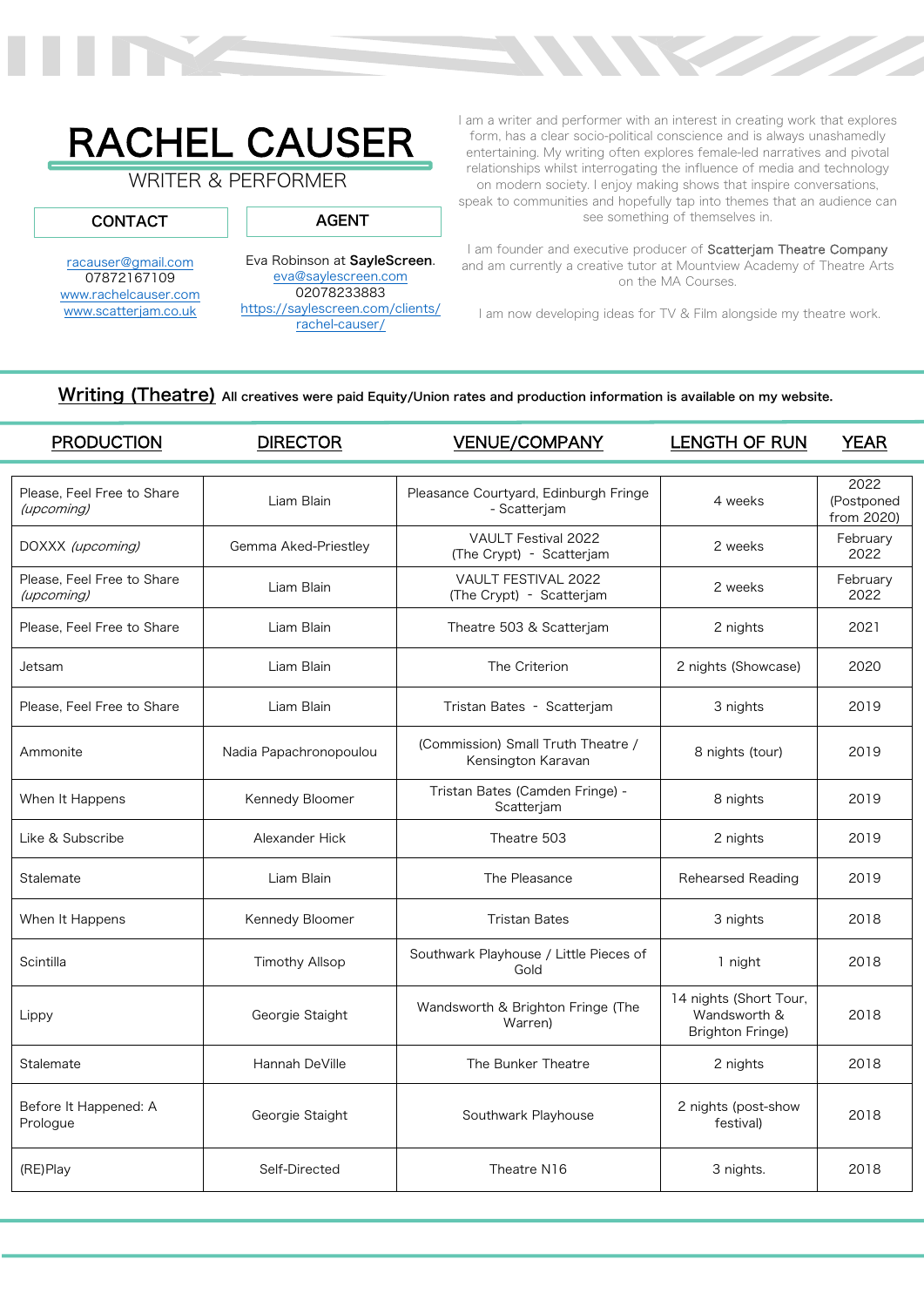

# RACHEL CAUSER

## WRITER & PERFORMER

racauser@gmail.com 07872167109 www.rachelcauser.com www.scatterjam.co.uk

CONTACT

Eva Robinson at SayleScreen. eva@saylescreen.com 02078233883 https://saylescreen.com/clients/

AGENT

rachel-causer/

I am a writer and performer with an interest in creating work that explores form, has a clear socio-political conscience and is always unashamedly entertaining. My writing often explores female-led narratives and pivotal relationships whilst interrogating the influence of media and technology on modern society. I enjoy making shows that inspire conversations, speak to communities and hopefully tap into themes that an audience can see something of themselves in.

I am founder and executive producer of Scatterjam Theatre Company and am currently a creative tutor at Mountview Academy of Theatre Arts on the MA Courses.

I am now developing ideas for TV & Film alongside my theatre work.

#### Writing (Theatre) All creatives were paid Equity/Union rates and production information is available on my website.

| <b>PRODUCTION</b>                        | <b>DIRECTOR</b>        | <b>VENUE/COMPANY</b>                                     | LENGTH OF RUN                                                     | <b>YEAR</b>                      |
|------------------------------------------|------------------------|----------------------------------------------------------|-------------------------------------------------------------------|----------------------------------|
|                                          |                        |                                                          |                                                                   |                                  |
| Please. Feel Free to Share<br>(upcoming) | Liam Blain             | Pleasance Courtyard, Edinburgh Fringe<br>- Scatterjam    | 4 weeks                                                           | 2022<br>(Postponed<br>from 2020) |
| DOXXX (upcoming)                         | Gemma Aked-Priestley   | <b>VAULT Festival 2022</b><br>(The Crypt) - Scatterjam   | 2 weeks                                                           | February<br>2022                 |
| Please, Feel Free to Share<br>(upcoming) | Liam Blain             | VAULT FESTIVAL 2022<br>(The Crypt) - Scatterjam          | 2 weeks                                                           | February<br>2022                 |
| Please. Feel Free to Share               | Liam Blain             | Theatre 503 & Scatterjam                                 | 2 nights                                                          | 2021                             |
| Jetsam                                   | Liam Blain             | The Criterion                                            | 2 nights (Showcase)                                               | 2020                             |
| Please, Feel Free to Share               | Liam Blain             | Tristan Bates - Scatterjam                               | 3 nights                                                          | 2019                             |
| Ammonite                                 | Nadia Papachronopoulou | (Commission) Small Truth Theatre /<br>Kensington Karavan | 8 nights (tour)                                                   | 2019                             |
| When It Happens                          | Kennedy Bloomer        | Tristan Bates (Camden Fringe) -<br>Scatterjam            | 8 nights                                                          | 2019                             |
| Like & Subscribe                         | Alexander Hick         | Theatre 503                                              | 2 nights                                                          | 2019                             |
| Stalemate                                | Liam Blain             | The Pleasance                                            | Rehearsed Reading                                                 | 2019                             |
| When It Happens                          | Kennedy Bloomer        | <b>Tristan Bates</b>                                     | 3 nights                                                          | 2018                             |
| Scintilla                                | <b>Timothy Allsop</b>  | Southwark Playhouse / Little Pieces of<br>Gold           | 1 night                                                           | 2018                             |
| Lippy                                    | Georgie Staight        | Wandsworth & Brighton Fringe (The<br>Warren)             | 14 nights (Short Tour,<br>Wandsworth &<br><b>Brighton Fringe)</b> | 2018                             |
| Stalemate                                | Hannah DeVille         | The Bunker Theatre                                       | 2 nights                                                          | 2018                             |
| Before It Happened: A<br>Prologue        | Georgie Staight        | Southwark Playhouse                                      | 2 nights (post-show<br>festival)                                  | 2018                             |
| (RE)Play                                 | Self-Directed          | Theatre N16                                              | 3 nights.                                                         | 2018                             |